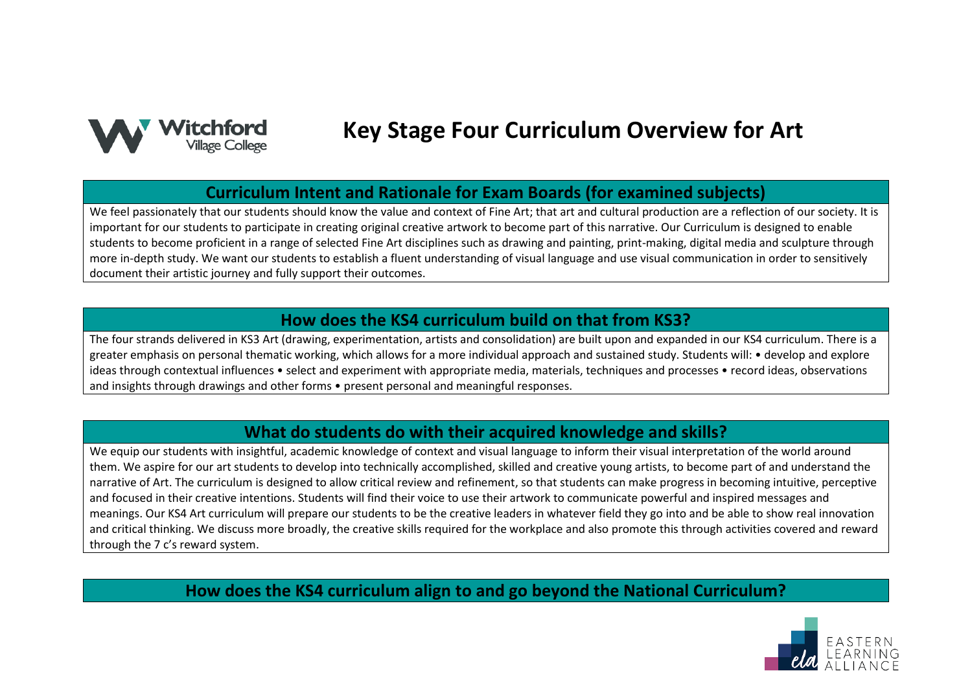

# **Key Stage Four Curriculum Overview for Art**

# **Curriculum Intent and Rationale for Exam Boards (for examined subjects)**

We feel passionately that our students should know the value and context of Fine Art; that art and cultural production are a reflection of our society. It is important for our students to participate in creating original creative artwork to become part of this narrative. Our Curriculum is designed to enable students to become proficient in a range of selected Fine Art disciplines such as drawing and painting, print-making, digital media and sculpture through more in-depth study. We want our students to establish a fluent understanding of visual language and use visual communication in order to sensitively document their artistic journey and fully support their outcomes.

# **How does the KS4 curriculum build on that from KS3?**

The four strands delivered in KS3 Art (drawing, experimentation, artists and consolidation) are built upon and expanded in our KS4 curriculum. There is a greater emphasis on personal thematic working, which allows for a more individual approach and sustained study. Students will: • develop and explore ideas through contextual influences • select and experiment with appropriate media, materials, techniques and processes • record ideas, observations and insights through drawings and other forms • present personal and meaningful responses.

# **What do students do with their acquired knowledge and skills?**

We equip our students with insightful, academic knowledge of context and visual language to inform their visual interpretation of the world around them. We aspire for our art students to develop into technically accomplished, skilled and creative young artists, to become part of and understand the narrative of Art. The curriculum is designed to allow critical review and refinement, so that students can make progress in becoming intuitive, perceptive and focused in their creative intentions. Students will find their voice to use their artwork to communicate powerful and inspired messages and meanings. Our KS4 Art curriculum will prepare our students to be the creative leaders in whatever field they go into and be able to show real innovation and critical thinking. We discuss more broadly, the creative skills required for the workplace and also promote this through activities covered and reward through the 7 c's reward system.

**How does the KS4 curriculum align to and go beyond the National Curriculum?**

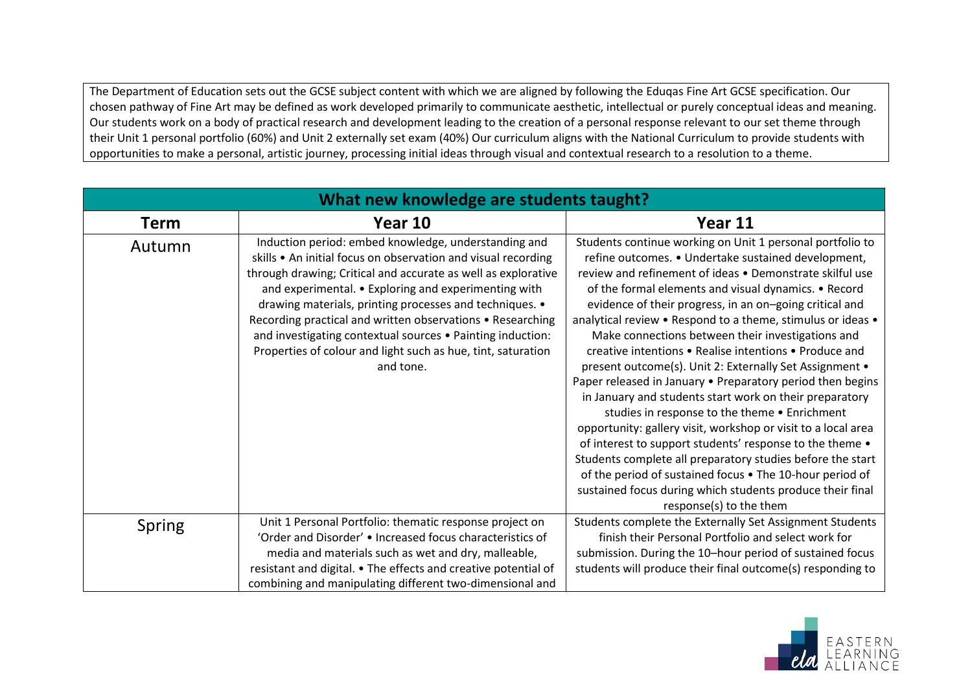The Department of Education sets out the GCSE subject content with which we are aligned by following the Eduqas Fine Art GCSE specification. Our chosen pathway of Fine Art may be defined as work developed primarily to communicate aesthetic, intellectual or purely conceptual ideas and meaning. Our students work on a body of practical research and development leading to the creation of a personal response relevant to our set theme through their Unit 1 personal portfolio (60%) and Unit 2 externally set exam (40%) Our curriculum aligns with the National Curriculum to provide students with opportunities to make a personal, artistic journey, processing initial ideas through visual and contextual research to a resolution to a theme.

| What new knowledge are students taught? |                                                                                                                                                                                                                                                                                                                                                                                                                                                                                                                    |                                                                                                                                                                                                                                                                                                                                                                                                                                                                                                                                                                                                                                                                                                                                                                                                                                                                                                                                                                                                                                                                   |
|-----------------------------------------|--------------------------------------------------------------------------------------------------------------------------------------------------------------------------------------------------------------------------------------------------------------------------------------------------------------------------------------------------------------------------------------------------------------------------------------------------------------------------------------------------------------------|-------------------------------------------------------------------------------------------------------------------------------------------------------------------------------------------------------------------------------------------------------------------------------------------------------------------------------------------------------------------------------------------------------------------------------------------------------------------------------------------------------------------------------------------------------------------------------------------------------------------------------------------------------------------------------------------------------------------------------------------------------------------------------------------------------------------------------------------------------------------------------------------------------------------------------------------------------------------------------------------------------------------------------------------------------------------|
| <b>Term</b>                             | Year 10                                                                                                                                                                                                                                                                                                                                                                                                                                                                                                            | Year 11                                                                                                                                                                                                                                                                                                                                                                                                                                                                                                                                                                                                                                                                                                                                                                                                                                                                                                                                                                                                                                                           |
| Autumn                                  | Induction period: embed knowledge, understanding and<br>skills • An initial focus on observation and visual recording<br>through drawing; Critical and accurate as well as explorative<br>and experimental. • Exploring and experimenting with<br>drawing materials, printing processes and techniques. •<br>Recording practical and written observations • Researching<br>and investigating contextual sources . Painting induction:<br>Properties of colour and light such as hue, tint, saturation<br>and tone. | Students continue working on Unit 1 personal portfolio to<br>refine outcomes. • Undertake sustained development,<br>review and refinement of ideas . Demonstrate skilful use<br>of the formal elements and visual dynamics. • Record<br>evidence of their progress, in an on-going critical and<br>analytical review • Respond to a theme, stimulus or ideas •<br>Make connections between their investigations and<br>creative intentions • Realise intentions • Produce and<br>present outcome(s). Unit 2: Externally Set Assignment .<br>Paper released in January • Preparatory period then begins<br>in January and students start work on their preparatory<br>studies in response to the theme . Enrichment<br>opportunity: gallery visit, workshop or visit to a local area<br>of interest to support students' response to the theme .<br>Students complete all preparatory studies before the start<br>of the period of sustained focus . The 10-hour period of<br>sustained focus during which students produce their final<br>response(s) to the them |
| Spring                                  | Unit 1 Personal Portfolio: thematic response project on                                                                                                                                                                                                                                                                                                                                                                                                                                                            | Students complete the Externally Set Assignment Students                                                                                                                                                                                                                                                                                                                                                                                                                                                                                                                                                                                                                                                                                                                                                                                                                                                                                                                                                                                                          |
|                                         | 'Order and Disorder' • Increased focus characteristics of                                                                                                                                                                                                                                                                                                                                                                                                                                                          | finish their Personal Portfolio and select work for                                                                                                                                                                                                                                                                                                                                                                                                                                                                                                                                                                                                                                                                                                                                                                                                                                                                                                                                                                                                               |
|                                         | media and materials such as wet and dry, malleable,                                                                                                                                                                                                                                                                                                                                                                                                                                                                | submission. During the 10-hour period of sustained focus                                                                                                                                                                                                                                                                                                                                                                                                                                                                                                                                                                                                                                                                                                                                                                                                                                                                                                                                                                                                          |
|                                         | resistant and digital. • The effects and creative potential of                                                                                                                                                                                                                                                                                                                                                                                                                                                     | students will produce their final outcome(s) responding to                                                                                                                                                                                                                                                                                                                                                                                                                                                                                                                                                                                                                                                                                                                                                                                                                                                                                                                                                                                                        |
|                                         | combining and manipulating different two-dimensional and                                                                                                                                                                                                                                                                                                                                                                                                                                                           |                                                                                                                                                                                                                                                                                                                                                                                                                                                                                                                                                                                                                                                                                                                                                                                                                                                                                                                                                                                                                                                                   |